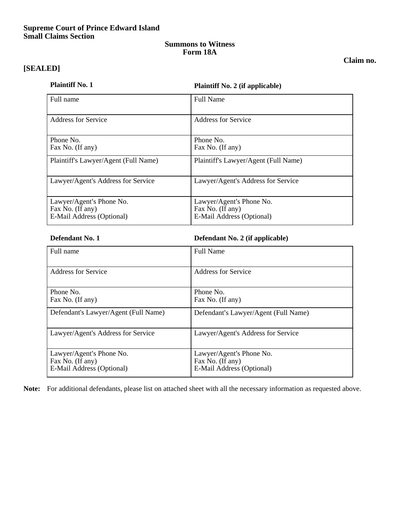## **Supreme Court of Prince Edward Island Small Claims Section**

## **Summons to Witness Form 18A**

# **[SEALED]**

## **Claim no.**

**Plaintiff No. 1 Plaintiff No. 2 (if applicable)**

| Full name                                                                 | <b>Full Name</b>                                                          |
|---------------------------------------------------------------------------|---------------------------------------------------------------------------|
| Address for Service                                                       | <b>Address for Service</b>                                                |
| Phone No.<br>Fax No. (If any)                                             | Phone No.<br>Fax No. (If any)                                             |
| Plaintiff's Lawyer/Agent (Full Name)                                      | Plaintiff's Lawyer/Agent (Full Name)                                      |
| Lawyer/Agent's Address for Service                                        | Lawyer/Agent's Address for Service                                        |
| Lawyer/Agent's Phone No.<br>Fax No. (If any)<br>E-Mail Address (Optional) | Lawyer/Agent's Phone No.<br>Fax No. (If any)<br>E-Mail Address (Optional) |

**Defendant No. 1 Defendant No. 2 (if applicable)**

| Full name                                                                 | <b>Full Name</b>                                                          |
|---------------------------------------------------------------------------|---------------------------------------------------------------------------|
| <b>Address for Service</b>                                                | <b>Address for Service</b>                                                |
| Phone No.<br>Fax No. (If any)                                             | Phone No.<br>Fax No. (If any)                                             |
| Defendant's Lawyer/Agent (Full Name)                                      | Defendant's Lawyer/Agent (Full Name)                                      |
| Lawyer/Agent's Address for Service                                        | Lawyer/Agent's Address for Service                                        |
| Lawyer/Agent's Phone No.<br>Fax No. (If any)<br>E-Mail Address (Optional) | Lawyer/Agent's Phone No.<br>Fax No. (If any)<br>E-Mail Address (Optional) |

**Note:** For additional defendants, please list on attached sheet with all the necessary information as requested above.